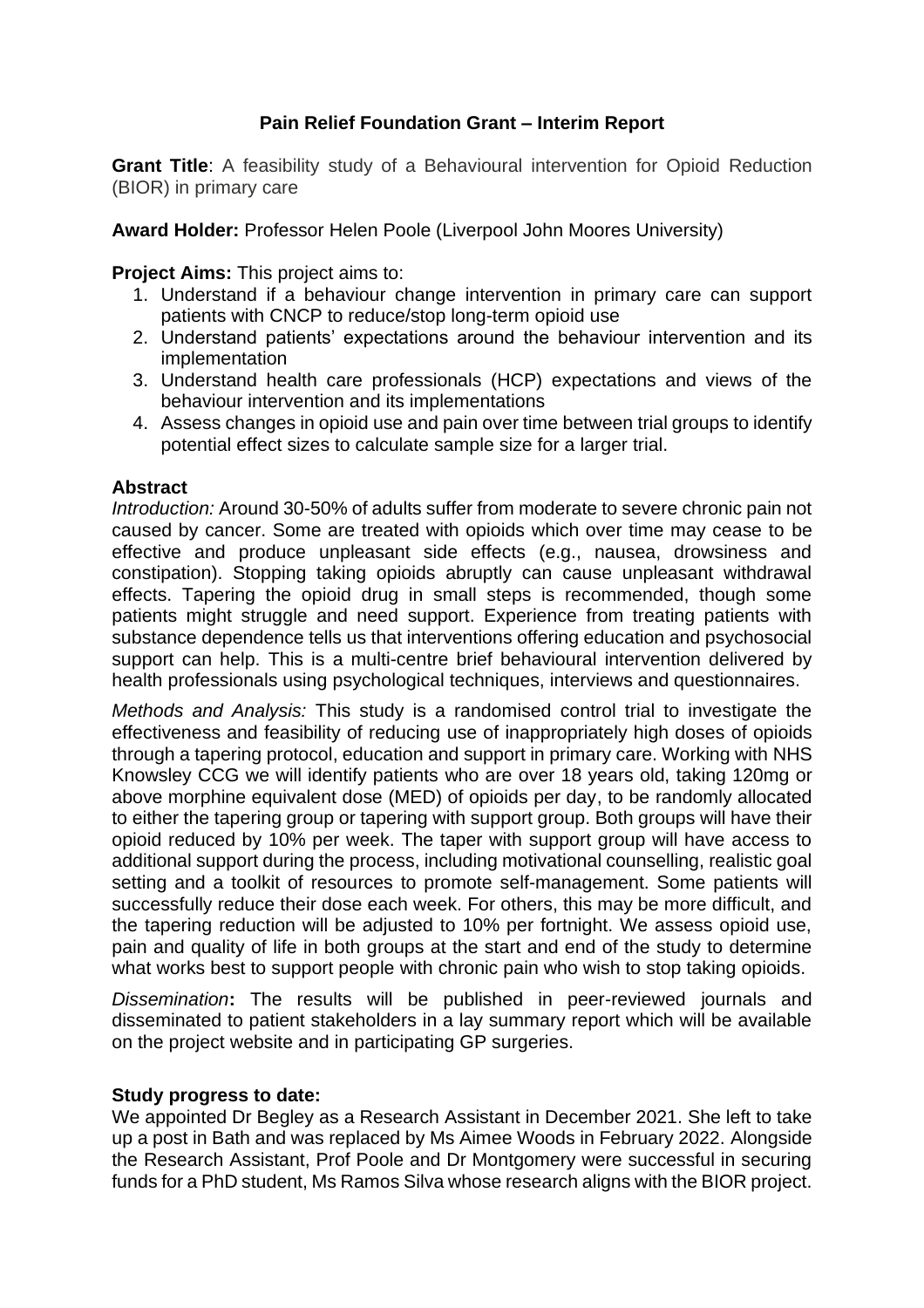# **Pain Relief Foundation Grant – Interim Report**

**Grant Title:** A feasibility study of a Behavioural intervention for Opioid Reduction (BIOR) in primary care

**Award Holder:** Professor Helen Poole (Liverpool John Moores University)

**Project Aims:** This project aims to:

- 1. Understand if a behaviour change intervention in primary care can support patients with CNCP to reduce/stop long-term opioid use
- 2. Understand patients' expectations around the behaviour intervention and its implementation
- 3. Understand health care professionals (HCP) expectations and views of the behaviour intervention and its implementations
- 4. Assess changes in opioid use and pain over time between trial groups to identify potential effect sizes to calculate sample size for a larger trial.

### **Abstract**

*Introduction:* Around 30-50% of adults suffer from moderate to severe chronic pain not caused by cancer. Some are treated with opioids which over time may cease to be effective and produce unpleasant side effects (e.g., nausea, drowsiness and constipation). Stopping taking opioids abruptly can cause unpleasant withdrawal effects. Tapering the opioid drug in small steps is recommended, though some patients might struggle and need support. Experience from treating patients with substance dependence tells us that interventions offering education and psychosocial support can help. This is a multi-centre brief behavioural intervention delivered by health professionals using psychological techniques, interviews and questionnaires.

*Methods and Analysis:* This study is a randomised control trial to investigate the effectiveness and feasibility of reducing use of inappropriately high doses of opioids through a tapering protocol, education and support in primary care. Working with NHS Knowsley CCG we will identify patients who are over 18 years old, taking 120mg or above morphine equivalent dose (MED) of opioids per day, to be randomly allocated to either the tapering group or tapering with support group. Both groups will have their opioid reduced by 10% per week. The taper with support group will have access to additional support during the process, including motivational counselling, realistic goal setting and a toolkit of resources to promote self-management. Some patients will successfully reduce their dose each week. For others, this may be more difficult, and the tapering reduction will be adjusted to 10% per fortnight. We assess opioid use, pain and quality of life in both groups at the start and end of the study to determine what works best to support people with chronic pain who wish to stop taking opioids.

*Dissemination***:** The results will be published in peer-reviewed journals and disseminated to patient stakeholders in a lay summary report which will be available on the project website and in participating GP surgeries.

#### **Study progress to date:**

We appointed Dr Begley as a Research Assistant in December 2021. She left to take up a post in Bath and was replaced by Ms Aimee Woods in February 2022. Alongside the Research Assistant, Prof Poole and Dr Montgomery were successful in securing funds for a PhD student, Ms Ramos Silva whose research aligns with the BIOR project.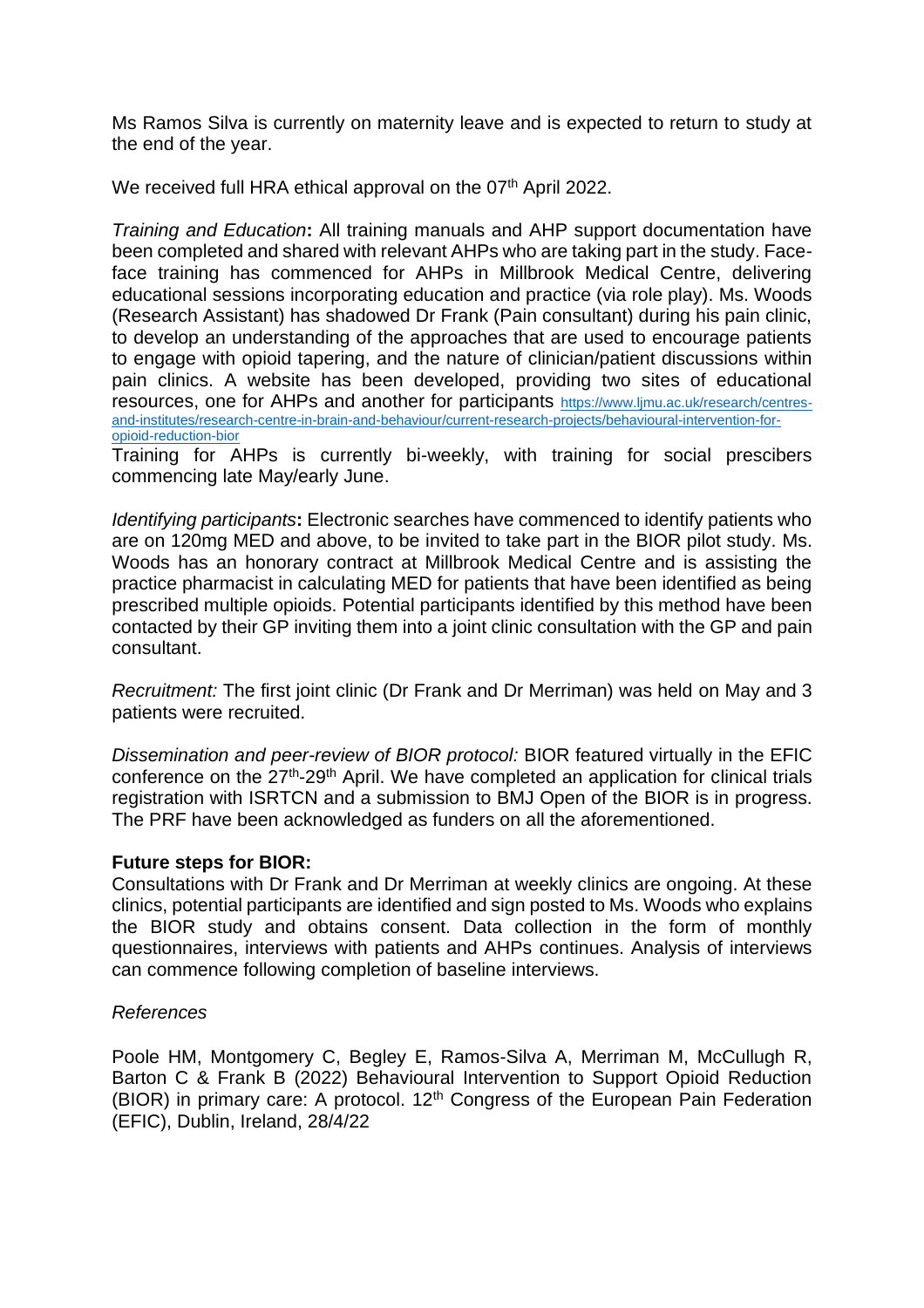Ms Ramos Silva is currently on maternity leave and is expected to return to study at the end of the year.

We received full HRA ethical approval on the 07<sup>th</sup> April 2022.

*Training and Education***:** All training manuals and AHP support documentation have been completed and shared with relevant AHPs who are taking part in the study. Faceface training has commenced for AHPs in Millbrook Medical Centre, delivering educational sessions incorporating education and practice (via role play). Ms. Woods (Research Assistant) has shadowed Dr Frank (Pain consultant) during his pain clinic, to develop an understanding of the approaches that are used to encourage patients to engage with opioid tapering, and the nature of clinician/patient discussions within pain clinics. A website has been developed, providing two sites of educational resources, one for AHPs and another for participants [https://www.ljmu.ac.uk/research/centres](https://www.ljmu.ac.uk/research/centres-and-institutes/research-centre-in-brain-and-behaviour/current-research-projects/behavioural-intervention-for-opioid-reduction-bior)[and-institutes/research-centre-in-brain-and-behaviour/current-research-projects/behavioural-intervention-for](https://www.ljmu.ac.uk/research/centres-and-institutes/research-centre-in-brain-and-behaviour/current-research-projects/behavioural-intervention-for-opioid-reduction-bior)[opioid-reduction-bior](https://www.ljmu.ac.uk/research/centres-and-institutes/research-centre-in-brain-and-behaviour/current-research-projects/behavioural-intervention-for-opioid-reduction-bior)

Training for AHPs is currently bi-weekly, with training for social prescibers commencing late May/early June.

*Identifying participants***:** Electronic searches have commenced to identify patients who are on 120mg MED and above, to be invited to take part in the BIOR pilot study. Ms. Woods has an honorary contract at Millbrook Medical Centre and is assisting the practice pharmacist in calculating MED for patients that have been identified as being prescribed multiple opioids. Potential participants identified by this method have been contacted by their GP inviting them into a joint clinic consultation with the GP and pain consultant.

*Recruitment:* The first joint clinic (Dr Frank and Dr Merriman) was held on May and 3 patients were recruited.

*Dissemination and peer-review of BIOR protocol:* BIOR featured virtually in the EFIC conference on the 27<sup>th</sup>-29<sup>th</sup> April. We have completed an application for clinical trials registration with ISRTCN and a submission to BMJ Open of the BIOR is in progress. The PRF have been acknowledged as funders on all the aforementioned.

## **Future steps for BIOR:**

Consultations with Dr Frank and Dr Merriman at weekly clinics are ongoing. At these clinics, potential participants are identified and sign posted to Ms. Woods who explains the BIOR study and obtains consent. Data collection in the form of monthly questionnaires, interviews with patients and AHPs continues. Analysis of interviews can commence following completion of baseline interviews.

#### *References*

Poole HM, Montgomery C, Begley E, Ramos-Silva A, Merriman M, McCullugh R, Barton C & Frank B (2022) Behavioural Intervention to Support Opioid Reduction (BIOR) in primary care: A protocol.  $12<sup>th</sup>$  Congress of the European Pain Federation (EFIC), Dublin, Ireland, 28/4/22